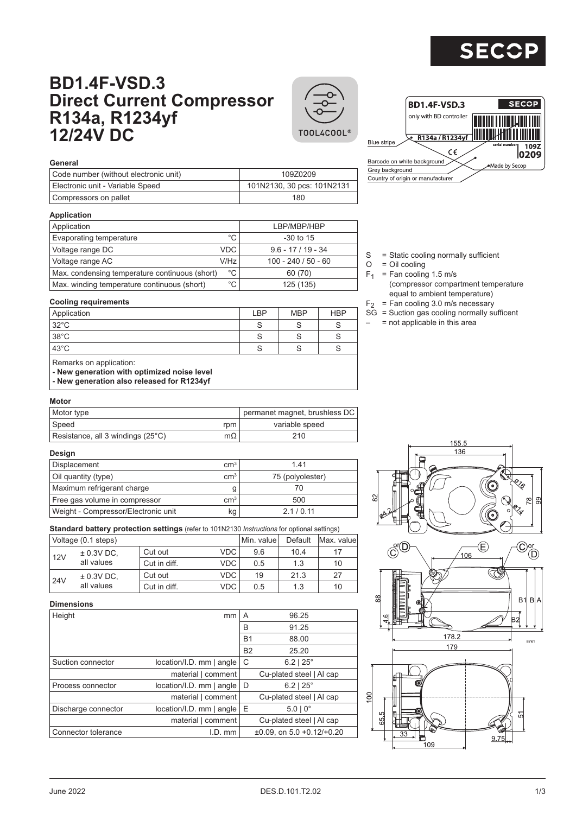

# **BD1.4F-VSD.3 Direct Current Compressor R134a, R1234yf 12/24V DC**





|                 | <b>BD1.4F-VSD.3</b>               | <b>SECOP</b>                  |
|-----------------|-----------------------------------|-------------------------------|
|                 | only with BD controller           |                               |
| Blue stripe     | R134a / R1234yf<br>ce             | serial number<br>109Z<br>0209 |
|                 | Barcode on white background       | •Made by Secop                |
| Grev background |                                   |                               |
|                 | Country of origin or manufacturer |                               |

#### **General**

| Code number (without electronic unit) | 109Z0209                   |
|---------------------------------------|----------------------------|
| Electronic unit - Variable Speed      | 101N2130, 30 pcs: 101N2131 |
| Compressors on pallet                 | 180                        |

#### **Application**

| Application                                    |              | LBP/MBP/HBP           |
|------------------------------------------------|--------------|-----------------------|
| <b>Evaporating temperature</b>                 | °C           | $-30$ to 15           |
| Voltage range DC                               | <b>VDC</b>   | $9.6 - 17/19 - 34$    |
| Voltage range AC                               | V/Hz         | $100 - 240 / 50 - 60$ |
| Max. condensing temperature continuous (short) | $^{\circ}$ C | 60 (70)               |
| Max. winding temperature continuous (short)    | °C           | 125 (135)             |

#### S = Static cooling normally sufficient

- $O = Oil$  cooling
- $F_1$  = Fan cooling 1.5 m/s (compressor compartment temperature equal to ambient temperature)
- $F<sub>2</sub>$  = Fan cooling 3.0 m/s necessary
- $SG =$  Suction gas cooling normally sufficent
- $=$  not applicable in this area

### **Cooling requirements**

| Application                                                                                                          | LBP | <b>MBP</b> | <b>HBP</b> |
|----------------------------------------------------------------------------------------------------------------------|-----|------------|------------|
| $32^{\circ}$ C                                                                                                       | S   |            | S          |
| $38^{\circ}$ C                                                                                                       | S   |            | S          |
| $43^{\circ}$ C                                                                                                       | S   |            | S          |
| Remarks on application:<br>- New generation with optimized noise level<br>- New generation also released for R1234yf |     |            |            |

#### **Motor**

| Motor type                        |           | permanet magnet, brushless DC |
|-----------------------------------|-----------|-------------------------------|
| Speed                             | rpm       | variable speed                |
| Resistance, all 3 windings (25°C) | $m\Omega$ | 210                           |

#### **Design**

| Displacement                        | cm <sup>3</sup> | 141              |
|-------------------------------------|-----------------|------------------|
| Oil quantity (type)                 | $\rm cm^{3}$    | 75 (polyolester) |
| Maximum refrigerant charge          |                 |                  |
| Free gas volume in compressor       | cm <sup>3</sup> | 500              |
| Weight - Compressor/Electronic unit | kg              | 2.1/0.11         |

**Standard battery protection settings** (refer to 101N2130 *Instructions* for optional settings)

|     | Voltage (0.1 steps) | Min. value l | Default    | Max. valuel |      |    |
|-----|---------------------|--------------|------------|-------------|------|----|
| 12V | $\pm$ 0.3V DC,      | Cut out      | VDC.       | 9.6         | 10.4 | 17 |
|     | all values          | Cut in diff. | <b>VDC</b> | 0.5         | 1.3  | 10 |
|     | $\pm$ 0.3V DC,      | Cut out      | VDC.       | 19          | 21.3 | 27 |
| 24V | all values          | Cut in diff. | VDC.       | 0.5         | 1.3  | 10 |

#### **Dimensions**

| Height              | mm                          | A         | 96.25                                   |
|---------------------|-----------------------------|-----------|-----------------------------------------|
|                     |                             | B         | 91.25                                   |
|                     |                             | <b>B1</b> | 88.00                                   |
|                     |                             | <b>B2</b> | 25.20                                   |
| Suction connector   | $location/I.D.$ mm $ angle$ | C         | $6.2$   $25^{\circ}$                    |
|                     | material   comment          |           | Cu-plated steel   Al cap                |
| Process connector   | $location/I.D.$ mm $ angle$ | D         | $6.2$   $25^{\circ}$                    |
|                     | material   comment          |           | Cu-plated steel   Al cap                |
| Discharge connector | $location/I.D.$ mm $ angle$ | Ε         | $5.0 \mid 0^{\circ}$                    |
|                     | material   comment          |           | Cu-plated steel   Al cap                |
| Connector tolerance | $LD.$ mm                    |           | $\pm 0.09$ , on 5.0 $\pm 0.12/\pm 0.20$ |
|                     |                             |           |                                         |

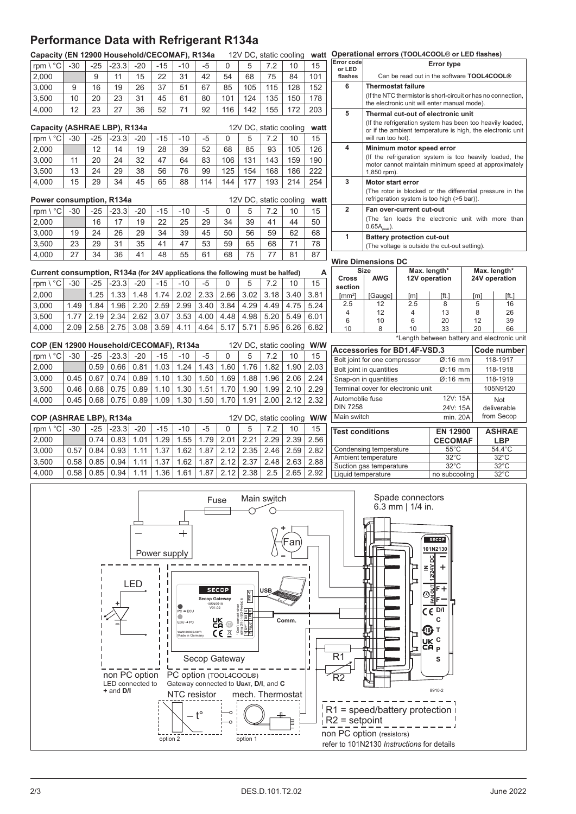## **Performance Data with Refrigerant R134a**

|                                                                                                                                                                                                                                                                                                                                                                                                                                                                                                                                                                                                                                                                                                                                                                                                                                                                                                                                                                                                                                                     | Capacity (EN 12900 Household/CECOMAF), R134a<br>12V DC, static cooling<br>watt |       |         |       |          |       |      |              |          |                        | Operational errors (TOOL4COOL® or LED flashes) |                            |                                                                         |                               |                                    |                                                               |     |                       |                |
|-----------------------------------------------------------------------------------------------------------------------------------------------------------------------------------------------------------------------------------------------------------------------------------------------------------------------------------------------------------------------------------------------------------------------------------------------------------------------------------------------------------------------------------------------------------------------------------------------------------------------------------------------------------------------------------------------------------------------------------------------------------------------------------------------------------------------------------------------------------------------------------------------------------------------------------------------------------------------------------------------------------------------------------------------------|--------------------------------------------------------------------------------|-------|---------|-------|----------|-------|------|--------------|----------|------------------------|------------------------------------------------|----------------------------|-------------------------------------------------------------------------|-------------------------------|------------------------------------|---------------------------------------------------------------|-----|-----------------------|----------------|
| rpm \ °C                                                                                                                                                                                                                                                                                                                                                                                                                                                                                                                                                                                                                                                                                                                                                                                                                                                                                                                                                                                                                                            | $-30$                                                                          | $-25$ | $-23.3$ | $-20$ | $-15$    | $-10$ | -5   | 0            | 5        | 7.2                    | 10                                             | 15                         | Error code<br>or LED                                                    |                               |                                    | <b>Error type</b>                                             |     |                       |                |
| 2,000                                                                                                                                                                                                                                                                                                                                                                                                                                                                                                                                                                                                                                                                                                                                                                                                                                                                                                                                                                                                                                               |                                                                                | 9     | 11      | 15    | 22       | 31    | 42   | 54           | 68       | 75                     | 84                                             | 101                        | flashes                                                                 |                               |                                    | Can be read out in the software TOOL4COOL®                    |     |                       |                |
| 3,000                                                                                                                                                                                                                                                                                                                                                                                                                                                                                                                                                                                                                                                                                                                                                                                                                                                                                                                                                                                                                                               | 9                                                                              | 16    | 19      | 26    | 37       | 51    | 67   | 85           | 105      | 115                    | 128                                            | 152                        | 6                                                                       | <b>Thermostat failure</b>     |                                    |                                                               |     |                       |                |
| 3,500                                                                                                                                                                                                                                                                                                                                                                                                                                                                                                                                                                                                                                                                                                                                                                                                                                                                                                                                                                                                                                               | 10                                                                             | 20    | 23      | 31    | 45       | 61    | 80   | 101          | 124      | 135                    | 150                                            | 178                        |                                                                         |                               |                                    | (If the NTC thermistor is short-circuit or has no connection, |     |                       |                |
| 4,000                                                                                                                                                                                                                                                                                                                                                                                                                                                                                                                                                                                                                                                                                                                                                                                                                                                                                                                                                                                                                                               | 12                                                                             | 23    | 27      | 36    | 52       | 71    | 92   | 116          | 142      | 155                    | 172                                            | 203                        |                                                                         |                               |                                    | the electronic unit will enter manual mode).                  |     |                       |                |
|                                                                                                                                                                                                                                                                                                                                                                                                                                                                                                                                                                                                                                                                                                                                                                                                                                                                                                                                                                                                                                                     |                                                                                |       |         |       |          |       |      |              |          |                        |                                                |                            | 5                                                                       |                               |                                    | Thermal cut-out of electronic unit                            |     |                       |                |
| Capacity (ASHRAE LBP), R134a                                                                                                                                                                                                                                                                                                                                                                                                                                                                                                                                                                                                                                                                                                                                                                                                                                                                                                                                                                                                                        |                                                                                |       |         |       |          |       |      |              |          | 12V DC, static cooling |                                                | watt                       |                                                                         |                               |                                    | (If the refrigeration system has been too heavily loaded,     |     |                       |                |
| rpm \ °C                                                                                                                                                                                                                                                                                                                                                                                                                                                                                                                                                                                                                                                                                                                                                                                                                                                                                                                                                                                                                                            | $-30$                                                                          | $-25$ | $-23.3$ | $-20$ | $-15$    | $-10$ | $-5$ | $\mathbf{0}$ | 5        | 7.2                    | 10                                             | 15                         |                                                                         | will run too hot).            |                                    | or if the ambient temperature is high, the electronic unit    |     |                       |                |
| 2,000                                                                                                                                                                                                                                                                                                                                                                                                                                                                                                                                                                                                                                                                                                                                                                                                                                                                                                                                                                                                                                               |                                                                                | 12    | 14      | 19    | 28       | 39    | 52   | 68           | 85       | 93                     | 105                                            | 126                        | $\overline{\mathbf{4}}$                                                 |                               | Minimum motor speed error          |                                                               |     |                       |                |
|                                                                                                                                                                                                                                                                                                                                                                                                                                                                                                                                                                                                                                                                                                                                                                                                                                                                                                                                                                                                                                                     |                                                                                |       |         |       |          |       |      |              |          |                        |                                                |                            |                                                                         |                               |                                    | (If the refrigeration system is too heavily loaded, the       |     |                       |                |
| 3,000                                                                                                                                                                                                                                                                                                                                                                                                                                                                                                                                                                                                                                                                                                                                                                                                                                                                                                                                                                                                                                               | 11                                                                             | 20    | 24      | 32    | 47       | 64    | 83   | 106          | 131      | 143                    | 159                                            | 190                        |                                                                         |                               |                                    | motor cannot maintain minimum speed at approximately          |     |                       |                |
| 3,500                                                                                                                                                                                                                                                                                                                                                                                                                                                                                                                                                                                                                                                                                                                                                                                                                                                                                                                                                                                                                                               | 13                                                                             | 24    | 29      | 38    | 56       | 76    | 99   | 125          | 154      | 168                    | 186                                            | 222                        |                                                                         | 1,850 rpm).                   |                                    |                                                               |     |                       |                |
| 4,000                                                                                                                                                                                                                                                                                                                                                                                                                                                                                                                                                                                                                                                                                                                                                                                                                                                                                                                                                                                                                                               | 15                                                                             | 29    | 34      | 45    | 65       | 88    | 114  | 144          | 177      | 193                    | 214                                            | 254                        | 3                                                                       | <b>Motor start error</b>      |                                    |                                                               |     |                       |                |
|                                                                                                                                                                                                                                                                                                                                                                                                                                                                                                                                                                                                                                                                                                                                                                                                                                                                                                                                                                                                                                                     |                                                                                |       |         |       |          |       |      |              |          |                        |                                                |                            |                                                                         |                               |                                    | (The rotor is blocked or the differential pressure in the     |     |                       |                |
| Power consumption, R134a                                                                                                                                                                                                                                                                                                                                                                                                                                                                                                                                                                                                                                                                                                                                                                                                                                                                                                                                                                                                                            |                                                                                |       |         |       |          |       |      |              |          | 12V DC, static cooling |                                                | watt                       |                                                                         |                               |                                    | refrigeration system is too high (>5 bar)).                   |     |                       |                |
| rpm \ °C                                                                                                                                                                                                                                                                                                                                                                                                                                                                                                                                                                                                                                                                                                                                                                                                                                                                                                                                                                                                                                            | $-30$                                                                          | $-25$ | $-23.3$ | $-20$ | $-15$    | $-10$ | -5   | 0            | 5        | 7.2                    | 10                                             | 15                         | $\overline{2}$                                                          |                               | Fan over-current cut-out           |                                                               |     |                       |                |
| 2,000                                                                                                                                                                                                                                                                                                                                                                                                                                                                                                                                                                                                                                                                                                                                                                                                                                                                                                                                                                                                                                               |                                                                                | 16    | 17      | 19    | 22       | 25    | 29   | 34           | 39       | 41                     | 44                                             | 50                         |                                                                         | $0.65A_{\text{peak}}$ ).      |                                    | (The fan loads the electronic unit with more than             |     |                       |                |
| 3,000                                                                                                                                                                                                                                                                                                                                                                                                                                                                                                                                                                                                                                                                                                                                                                                                                                                                                                                                                                                                                                               | 19                                                                             | 24    | 26      | 29    | 34       | 39    | 45   | 50           | 56       | 59                     | 62                                             | 68                         | $\mathbf{1}$                                                            |                               | <b>Battery protection cut-out</b>  |                                                               |     |                       |                |
| 3,500                                                                                                                                                                                                                                                                                                                                                                                                                                                                                                                                                                                                                                                                                                                                                                                                                                                                                                                                                                                                                                               | 23                                                                             | 29    | 31      | 35    | 41       | 47    | 53   | 59           | 65       | 68                     | 71                                             | 78                         |                                                                         |                               |                                    | (The voltage is outside the cut-out setting).                 |     |                       |                |
| 4,000                                                                                                                                                                                                                                                                                                                                                                                                                                                                                                                                                                                                                                                                                                                                                                                                                                                                                                                                                                                                                                               | 27                                                                             | 34    | 36      | 41    | 48       | 55    | 61   | 68           | 75       | 77                     | 81                                             | 87                         |                                                                         |                               |                                    |                                                               |     |                       |                |
|                                                                                                                                                                                                                                                                                                                                                                                                                                                                                                                                                                                                                                                                                                                                                                                                                                                                                                                                                                                                                                                     |                                                                                |       |         |       |          |       |      |              |          |                        |                                                |                            | <b>Wire Dimensions DC</b>                                               |                               |                                    |                                                               |     |                       |                |
| Current consumption, R134a (for 24V applications the following must be halfed)                                                                                                                                                                                                                                                                                                                                                                                                                                                                                                                                                                                                                                                                                                                                                                                                                                                                                                                                                                      |                                                                                |       |         |       |          |       |      |              |          |                        |                                                | A                          |                                                                         | <b>Size</b>                   |                                    | Max. length*                                                  |     |                       | Max. length*   |
| rpm \ °C                                                                                                                                                                                                                                                                                                                                                                                                                                                                                                                                                                                                                                                                                                                                                                                                                                                                                                                                                                                                                                            | $-30$                                                                          | $-25$ | $-23.3$ | $-20$ | $-15$    | $-10$ | $-5$ | $\Omega$     | 5        | 7.2                    | 10                                             | 15                         | Cross                                                                   | <b>AWG</b>                    | 12V operation                      |                                                               |     |                       | 24V operation  |
| 2,000                                                                                                                                                                                                                                                                                                                                                                                                                                                                                                                                                                                                                                                                                                                                                                                                                                                                                                                                                                                                                                               |                                                                                | 1.25  | 1.33    | 1.48  | 1.74     | 2.02  | 2.33 | 2.66         | 3.02     | 3.18                   | 3.40                                           | 3.81                       | section<br>$\text{[mm$^2$]}$                                            |                               |                                    |                                                               |     |                       |                |
|                                                                                                                                                                                                                                                                                                                                                                                                                                                                                                                                                                                                                                                                                                                                                                                                                                                                                                                                                                                                                                                     | 1.49                                                                           |       | 1.96    | 2.20  | 2.59     | 2.99  | 3.40 | 3.84         | 4.29     |                        | 4.75                                           | 5.24                       | 2.5                                                                     | [Gauge]<br>12                 | [ <sub>m</sub> ]<br>2.5            | [ft.]<br>8                                                    |     | [ <sub>m</sub> ]<br>5 | [ft.]<br>16    |
| 3,000                                                                                                                                                                                                                                                                                                                                                                                                                                                                                                                                                                                                                                                                                                                                                                                                                                                                                                                                                                                                                                               |                                                                                | 1.84  |         |       |          |       |      |              |          | 4.49                   |                                                |                            | 4                                                                       | 12                            | $\overline{4}$                     | 13                                                            |     | 8                     | 26             |
| 3,500                                                                                                                                                                                                                                                                                                                                                                                                                                                                                                                                                                                                                                                                                                                                                                                                                                                                                                                                                                                                                                               | 1.77                                                                           | 2.19  | 2.34    | 2.62  | 3.07     | 3.53  | 4.00 | 4.48         | 4.98     | 5.20                   | 5.49                                           | 6.01                       | 6                                                                       | 10                            | 6                                  | 20                                                            |     | 12                    | 39             |
| 4,000                                                                                                                                                                                                                                                                                                                                                                                                                                                                                                                                                                                                                                                                                                                                                                                                                                                                                                                                                                                                                                               | 2.09                                                                           | 2.58  | 2.75    | 3.08  | 3.59     | 4.11  | 4.64 | 5.17         | 5.71     | 5.95                   | 6.26                                           | 6.82                       | 10                                                                      | 8                             | 10                                 | 33                                                            |     | 20                    | 66             |
|                                                                                                                                                                                                                                                                                                                                                                                                                                                                                                                                                                                                                                                                                                                                                                                                                                                                                                                                                                                                                                                     |                                                                                |       |         |       |          |       |      |              |          |                        |                                                |                            |                                                                         |                               |                                    | *Length between battery and electronic unit                   |     |                       |                |
| COP (EN 12900 Household/CECOMAF), R134a                                                                                                                                                                                                                                                                                                                                                                                                                                                                                                                                                                                                                                                                                                                                                                                                                                                                                                                                                                                                             |                                                                                |       |         |       |          |       |      |              |          | 12V DC, static cooling |                                                | W/W                        |                                                                         |                               | Accessories for BD1.4F-VSD.3       |                                                               |     |                       | Code number    |
| rpm \ °C                                                                                                                                                                                                                                                                                                                                                                                                                                                                                                                                                                                                                                                                                                                                                                                                                                                                                                                                                                                                                                            | $-30$                                                                          | $-25$ | $-23.3$ | $-20$ | $-15$    | $-10$ | -5   | $\Omega$     | 5        | 7.2                    | 10                                             | 15                         |                                                                         | Bolt joint for one compressor |                                    | $Ø:16$ mm                                                     |     |                       | 118-1917       |
| 2,000                                                                                                                                                                                                                                                                                                                                                                                                                                                                                                                                                                                                                                                                                                                                                                                                                                                                                                                                                                                                                                               |                                                                                | 0.59  | 0.66    | 0.81  | 1.03     | 1.24  | 1.43 | 1.60         | 1.76     | 1.82                   | 1.90                                           | 2.03                       |                                                                         | Bolt joint in quantities      |                                    | $\varnothing$ :16 mm                                          |     |                       | 118-1918       |
| 3,000                                                                                                                                                                                                                                                                                                                                                                                                                                                                                                                                                                                                                                                                                                                                                                                                                                                                                                                                                                                                                                               | 0.45                                                                           | 0.67  | 0.74    | 0.89  | 1.10     | 1.30  | 1.50 | 1.69         | 1.88     | 1.96                   | 2.06                                           | 2.24                       |                                                                         | Snap-on in quantities         |                                    | $Ø:16$ mm                                                     |     |                       | 118-1919       |
| 3,500                                                                                                                                                                                                                                                                                                                                                                                                                                                                                                                                                                                                                                                                                                                                                                                                                                                                                                                                                                                                                                               | 0.46                                                                           | 0.68  | 0.75    | 0.89  | 1.10     | 1.30  | 1.51 | 1.70         | 1.90     | 1.99                   | 2.10                                           | 2.29                       |                                                                         |                               | Terminal cover for electronic unit |                                                               |     |                       | 105N9120       |
| 4,000                                                                                                                                                                                                                                                                                                                                                                                                                                                                                                                                                                                                                                                                                                                                                                                                                                                                                                                                                                                                                                               | 0.45                                                                           | 0.68  | 0.75    | 0.89  | 1.09     | 1.30  | 1.50 | 1.70         | 1.91     | 2.00                   | 2.12                                           | 2.32                       | Automoblie fuse                                                         | 12V: 15A                      |                                    |                                                               | Not |                       |                |
|                                                                                                                                                                                                                                                                                                                                                                                                                                                                                                                                                                                                                                                                                                                                                                                                                                                                                                                                                                                                                                                     |                                                                                |       |         |       |          |       |      |              |          |                        |                                                |                            | <b>DIN 7258</b>                                                         |                               |                                    | 24V: 15A                                                      |     |                       | deliverable    |
| COP (ASHRAE LBP), R134a                                                                                                                                                                                                                                                                                                                                                                                                                                                                                                                                                                                                                                                                                                                                                                                                                                                                                                                                                                                                                             |                                                                                |       |         |       |          |       |      |              |          |                        |                                                | 12V DC, static cooling W/W | Main switch                                                             |                               |                                    | min. 20A                                                      |     |                       | from Secop     |
| rpm \ °C                                                                                                                                                                                                                                                                                                                                                                                                                                                                                                                                                                                                                                                                                                                                                                                                                                                                                                                                                                                                                                            | $-30$                                                                          | $-25$ | $-23.3$ | $-20$ | $-15$    | $-10$ | $-5$ | $\Omega$     | 5        | 7.2                    | 10                                             | 15                         | <b>Test conditions</b>                                                  |                               |                                    | <b>EN 12900</b>                                               |     |                       | ASHRAE         |
| 2,000                                                                                                                                                                                                                                                                                                                                                                                                                                                                                                                                                                                                                                                                                                                                                                                                                                                                                                                                                                                                                                               |                                                                                | 0.74  | 0.83    | 1.01  | 1.29     | 1.55  | 1.79 | 2.01         | 2.21     | 2.29                   | 2.39                                           | 2.56                       |                                                                         |                               |                                    | <b>CECOMAF</b>                                                |     |                       | <b>LBP</b>     |
| 3,000                                                                                                                                                                                                                                                                                                                                                                                                                                                                                                                                                                                                                                                                                                                                                                                                                                                                                                                                                                                                                                               | 0.57                                                                           | 0.84  | 0.93    | 1.11  | 1.37     | 1.62  | 1.87 | 2.12         | 2.35     | 2.46                   | 2.59                                           | 2.82                       |                                                                         | Condensing temperature        |                                    | 55°C                                                          |     |                       | 54.4°C         |
| 3,500                                                                                                                                                                                                                                                                                                                                                                                                                                                                                                                                                                                                                                                                                                                                                                                                                                                                                                                                                                                                                                               | 0.58                                                                           | 0.85  | 0.94    | 1.11  | 1.37     | 1.62  | 1.87 | 2.12         | 2.37     | 2.48                   | 2.63                                           | 2.88                       |                                                                         | Ambient temperature           |                                    | $32^{\circ}$ C                                                |     |                       | $32^{\circ}$ C |
|                                                                                                                                                                                                                                                                                                                                                                                                                                                                                                                                                                                                                                                                                                                                                                                                                                                                                                                                                                                                                                                     |                                                                                |       |         |       |          |       |      |              |          |                        |                                                |                            |                                                                         | Suction gas temperature       |                                    | $32^{\circ}$ C                                                |     |                       | $32^{\circ}$ C |
|                                                                                                                                                                                                                                                                                                                                                                                                                                                                                                                                                                                                                                                                                                                                                                                                                                                                                                                                                                                                                                                     |                                                                                |       |         |       |          |       |      |              |          |                        |                                                |                            |                                                                         |                               |                                    |                                                               |     |                       |                |
| 2.38<br>4,000<br>0.58<br>0.85<br>0.94<br>1.11<br>1.36<br>1.61<br>1.87<br>2.12<br>2.5<br>2.65<br>2.92<br>$32^{\circ}$ C<br>Liquid temperature<br>no subcooling<br>Spade connectors<br>Main switch<br>Fuse<br>$6.3$ mm   $1/4$ in.<br>+<br>SECOP<br>101N2130<br>Power supply<br>50<br>$\frac{M}{12124V}$<br><b>LED</b><br>$\begin{array}{c}\n\circ \\ \circ \\ \circ \\ \circ \\ \circ \\ \circ \\ \circ \\ \circ\n\end{array}$<br><b>SECOP</b><br>USB<br>O-BSD<br><b>Secop Gateway</b><br>105N9518<br>$\epsilon$ <sub>D/I</sub><br>$\sigma$<br>$PC \rightarrow ECU$<br>с<br>똜<br>Comm.<br>$\mathsf{ECU}\rightarrow\mathsf{PC}$<br>$^{\circ}$<br><b>106 T</b><br>$C \in \mathbb{Z}$<br>www.secop.com<br>Made in German<br>UK <sup>C</sup><br>CA <sub>P</sub><br>$\overline{R1}$<br>Secop Gateway<br>s<br>non PC option<br>PC option (TOOL4COOL®)<br>R2<br>Gateway connected to UBAT, D/I, and C<br>LED connected to<br>8910-2<br>+ and D/I<br>NTC resistor<br>mech. Thermostat<br>$R1$ = speed/battery protection i<br>$t^{\circ}$<br>$R2$ = setpoint |                                                                                |       |         |       |          |       |      |              |          |                        |                                                |                            |                                                                         |                               |                                    |                                                               |     |                       |                |
|                                                                                                                                                                                                                                                                                                                                                                                                                                                                                                                                                                                                                                                                                                                                                                                                                                                                                                                                                                                                                                                     |                                                                                |       |         |       | option 2 |       |      |              | option 1 |                        |                                                |                            | non PC option (resistors)<br>refer to 101N2130 Instructions for details |                               |                                    |                                                               |     |                       |                |